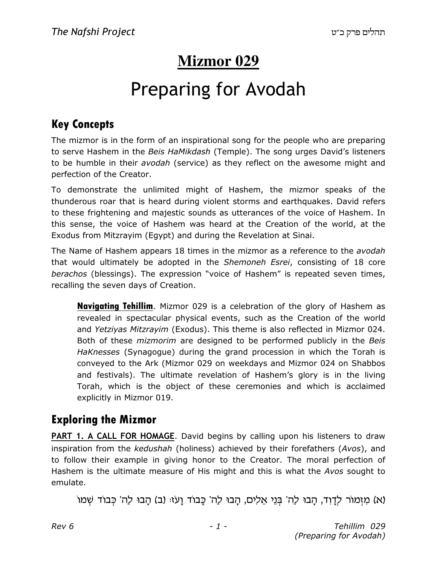# **Mizmor 029**

# Preparing for Avodah

#### Key Concepts

The mizmor is in the form of an inspirational song for the people who are preparing to serve Hashem in the Beis HaMikdash (Temple). The song urges David's listeners to be humble in their avodah (service) as they reflect on the awesome might and perfection of the Creator.

To demonstrate the unlimited might of Hashem, the mizmor speaks of the thunderous roar that is heard during violent storms and earthquakes. David refers to these frightening and majestic sounds as utterances of the voice of Hashem. In this sense, the voice of Hashem was heard at the Creation of the world, at the Exodus from Mitzrayim (Egypt) and during the Revelation at Sinai.

The Name of Hashem appears 18 times in the mizmor as a reference to the avodah that would ultimately be adopted in the Shemoneh Esrei, consisting of 18 core berachos (blessings). The expression "voice of Hashem" is repeated seven times, recalling the seven days of Creation.

Navigating Tehillim. Mizmor 029 is a celebration of the glory of Hashem as revealed in spectacular physical events, such as the Creation of the world and Yetziyas Mitzrayim (Exodus). This theme is also reflected in Mizmor 024. Both of these *mizmorim* are designed to be performed publicly in the Beis HaKnesses (Synagogue) during the grand procession in which the Torah is conveyed to the Ark (Mizmor 029 on weekdays and Mizmor 024 on Shabbos and festivals). The ultimate revelation of Hashem's glory is in the living Torah, which is the object of these ceremonies and which is acclaimed explicitly in Mizmor 019.

#### Exploring the Mizmor

PART 1. A CALL FOR HOMAGE. David begins by calling upon his listeners to draw inspiration from the kedushah (holiness) achieved by their forefathers (Avos), and to follow their example in giving honor to the Creator. The moral perfection of Hashem is the ultimate measure of His might and this is what the Avos sought to emulate.

(א) מִזְמוֹר לְדַוְד, הַבוּ לַה' בְּנֵי אֱלִים, הַבוּ לַה' כָּבוֹד שָׁמוֹ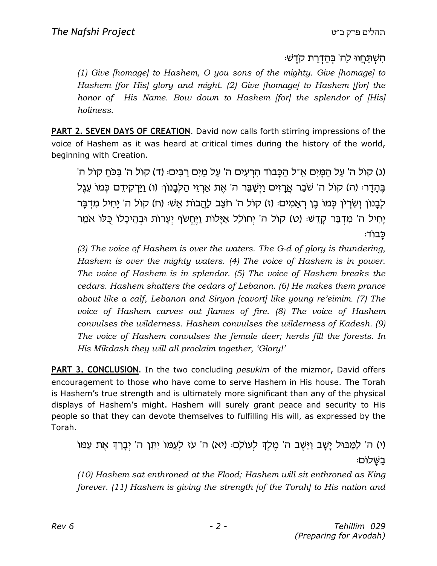#### ּהִשְׁתַּחֲווּ לַה' בִּהַדְרַת קֹדֵשׁ:

(1) Give [homage] to Hashem, O you sons of the mighty. Give [homage] to Hashem [for His] glory and might. (2) Give [homage] to Hashem [for] the honor of His Name. Bow down to Hashem [for] the splendor of [His] holiness.

PART 2. SEVEN DAYS OF CREATION. David now calls forth stirring impressions of the voice of Hashem as it was heard at critical times during the history of the world, beginning with Creation.

'(ג) קול ה' עַל הַמֵּיִם אֵ־ל הַכָּבוֹד הִרְעִים ה' עַל מַיִם רַבִּים: (ד) קול ה' בַּכֹּחַ קוֹל ה' ֶבְּהָדָר: (ה) קול ה' שֹׁבֵר אֲרָזִים וַיִּשֲׁבֵּר ה' אֶת אַרְזֵי הַלְבָנוֹן: (ו) וַיַּרְקִידֵם כְּמוֹ עֵגֶל לְבָנוֹן וְשָׂרְיֹן כְּמוֹ בֵן רְאֵמְים: (ז) קוֹל ה' חֹצֵב לַהֲבוֹת אֵשׁ: (ח) קוֹל ה' יַחִיל מְדְבָּר יַחִיל ה' מִדְבַּר קַדֵּשׁ: (ט) קול ה' יְחוֹלֵל אַיַּלוֹת וַיֵּחֵשׂף יִעֲרוֹת וּבְהֵיכָלוֹ כְּלוֹ אֹמֵר ּכּבוֹד

(3) The voice of Hashem is over the waters. The G-d of glory is thundering, Hashem is over the mighty waters. (4) The voice of Hashem is in power. The voice of Hashem is in splendor. (5) The voice of Hashem breaks the cedars. Hashem shatters the cedars of Lebanon. (6) He makes them prance about like a calf, Lebanon and Siryon [cavort] like young re'eimim. (7) The voice of Hashem carves out flames of fire. (8) The voice of Hashem convulses the wilderness. Hashem convulses the wilderness of Kadesh. (9) The voice of Hashem convulses the female deer; herds fill the forests. In His Mikdash they will all proclaim together, 'Glory!'

**PART 3. CONCLUSION.** In the two concluding *pesukim* of the mizmor, David offers encouragement to those who have come to serve Hashem in His house. The Torah is Hashem's true strength and is ultimately more significant than any of the physical displays of Hashem's might. Hashem will surely grant peace and security to His people so that they can devote themselves to fulfilling His will, as expressed by the Torah.

(י) ה' לַמַּבוּל יַשָׁב וַיֵּשֵׁב ה' מֶלֶךְ לְעוֹלָם: (יא) ה' עֹז לְעַמּוֹ יִתֵּן ה' יְבָרֵךְ אֶת עַמּוֹ בשלום:

(10) Hashem sat enthroned at the Flood; Hashem will sit enthroned as King forever. (11) Hashem is giving the strength [of the Torah] to His nation and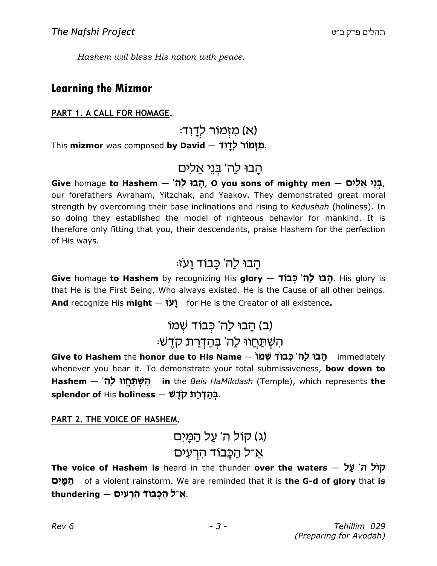Hashem will bless His nation with peace.

#### Learning the Mizmor

PART 1. A CALL FOR HOMAGE.

(א) מזִמוֹר לדָוד:

This **mizmor** was composed **by David**  $-$  **לִדְוֹדֿ,** 

# הַבוּ לַה' בְּנֵי אֵלִים

Give homage to Hashem – 'הָבוּ לַה, O you sons of mighty men – בְּנֵי אֵלִים, our forefathers Avraham, Yitzchak, and Yaakov. They demonstrated great moral strength by overcoming their base inclinations and rising to kedushah (holiness). In so doing they established the model of righteous behavior for mankind. It is therefore only fitting that you, their descendants, praise Hashem for the perfection of His ways.

### הַבוּ לַה' כַּבוֹד וַעזּ:

Give homage to Hashem by recognizing His glory - תֹבוּ לַה' כַּבוֹד . His glory is that He is the First Being, Who always existed. He is the Cause of all other beings. And recognize His might  $-$  (V) for He is the Creator of all existence.

# (ב) הָבוּ לַה' כְּבוֹד שָׁמוֹ הַשְׁתַּחֵווּ לַה' בִּהַדְרַת קֹדָשׁ

Give to Hashem the honor due to His Name – הָבוּ לַה' כְּבוֹד שָׁמוֹ whenever you hear it. To demonstrate your total submissiveness, bow down to Hashem — 'הִשְׁתַּחֲווּ לַה, in the *Beis HaMikdash* (Temple), which represents **the** splendor of His holiness – בְּהַדְּרַת קֹדָשׁ.

PART 2. THE VOICE OF HASHEM.

# (ג) קול ה' על המֵים אַ־ל הַכֲּבוֹד הִרְעִים

The voice of Hashem is heard in the thunder over the waters - שול ה' על הַמָּיִם of a violent rainstorm. We are reminded that it is **the G-d of glory** that i**s** thundering — אֲ־ל הַכְּבּוֹד הִרְעִים.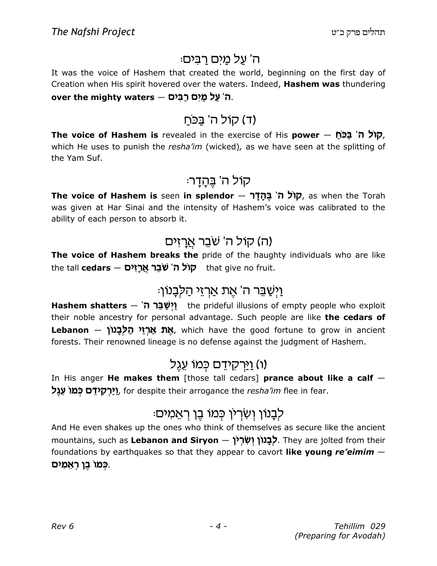#### ה' על מים רבים:

It was the voice of Hashem that created the world, beginning on the first day of Creation when His spirit hovered over the waters. Indeed, Hashem was thundering over the mighty waters — ה' עַל מַיִם רַבִּים,

### (ד) קול ה' בַּכּחַ

The voice of Hashem is revealed in the exercise of His power  $-$  הול ה' בכח $\tau$ which He uses to punish the resha'im (wicked), as we have seen at the splitting of the Yam Suf.

#### קול ה' בהדר:

The voice of Hashem is seen in splendor  $-$  קוֹל ה' בֵּהָדָר $\tau$ , as when the Torah was given at Har Sinai and the intensity of Hashem's voice was calibrated to the ability of each person to absorb it.

#### (ה) קול ה' שׁבֵר אֲרָזים

The voice of Hashem breaks the pride of the haughty individuals who are like that give no fruit. **קוֹל ה' שֹׁבֵר אֲרָזִים**<br>**chat give no fruit.** 

### ֿ<u>וַיִּשַׁבֵּר ה' אֶת אַרְזֵי הַ</u>ּלְבָנוֹן

Hashem shatters  $-$  ' $\eta$ יַשֲׁבֵּר ה' their noble ancestry for personal advantage. Such people are like the cedars of **Lebanon** — אַ**ה אַרזי הַלְבַנוֹן,** which have the good fortune to grow in ancient forests. Their renowned lineage is no defense against the judgment of Hashem.

### וו) <u>וי</u>ּרקידֵם כִּמוֹ עֵגֵל

In His anger He makes them [those tall cedars] prance about like a calf  $-$ **יַרְקִידֵם בְּמוֹ עֵגֶל.** for despite their arrogance the *resha'im* flee in fear.

# ּלְבָנוֹן וְשִׂרְיֹן כִּמוֹ בֵן רְאֵמִים

And He even shakes up the ones who think of themselves as secure like the ancient mountains, such as **Lebanon and Siryon — לְבָנוֹן יְשִׂרְיֹן .** They are jolted from their foundations by earthquakes so that they appear to cavort like young re'eimim  $-$ ְכָּמוֹ בֶן רְאֵמִים.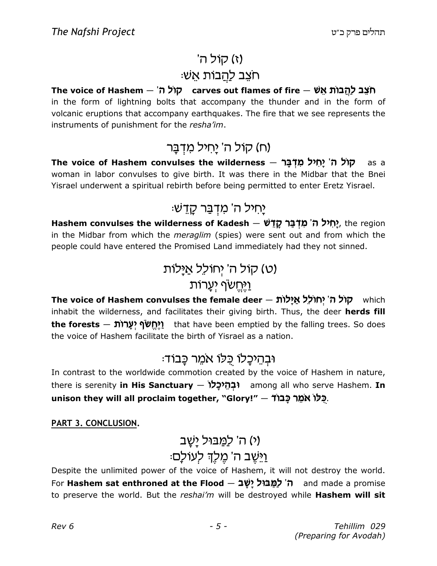# $\mathcal{L}$ (ז) קוֹל ה $\mathcal{L}$ ּחצֵב לַ<u>הֲ</u>בוֹת אֵשׁ

The voice of Hashem — 'תוֹל ה' in the form of lightning bolts that accompany the thunder and in the form of volcanic eruptions that accompany earthquakes. The fire that we see represents the instruments of punishment for the resha'im.

### (ח) קול ה' יַחיל מִדְבָּר

The voice of Hashem convulses the wilderness – קוֹל ה' יָחִיל מִדְּבָּר – woman in labor convulses to give birth. It was there in the Midbar that the Bnei Yisrael underwent a spiritual rebirth before being permitted to enter Eretz Yisrael.

### ַּיַחִיל ה' מִדְבַּר קַדָּשׁ

Hashem convulses the wilderness of Kadesh — יָחִיל ה' מִדְּבַּר קָדֵשׁ, the region in the Midbar from which the meraglim (spies) were sent out and from which the people could have entered the Promised Land immediately had they not sinned.

> ט) קול ה' יְחולֵל אַיַּלוֹת) וַיָּחֵשׂף יִעֲרוֹת

The voice of Hashem convulses the female deer – קול ה' יחולל אילות inhabit the wilderness, and facilitates their giving birth. Thus, the deer herds fill the forests – ויתשף יערות (יהוד the forests – the forests – the forests – i the voice of Hashem facilitate the birth of Yisrael as a nation.

### וּבְהֵיכָלוֹ כִּלוֹ אמֵר כָּבוֹד:

In contrast to the worldwide commotion created by the voice of Hashem in nature, there is serenity **in His Sanctuary – וּבְהֵיכֵלוֹ** among all who serve Hashem. **In** unison they will all proclaim together, "Glory!" – יָכָּלוֹ אמֶר כֲבוֹד.

PART 3. CONCLUSION.

# (י) ה' לַמֲבּוּל יַשֲב*'* ֿוַיֵּשֵׁב ה' מֵלֶךְ לְעוֹלַם:

Despite the unlimited power of the voice of Hashem, it will not destroy the world. For **Hashem sat enthroned at the Flood – ה**' לַמֲבוּל יַשַּׁב and made a promise to preserve the world. But the reshai'm will be destroyed while Hashem will sit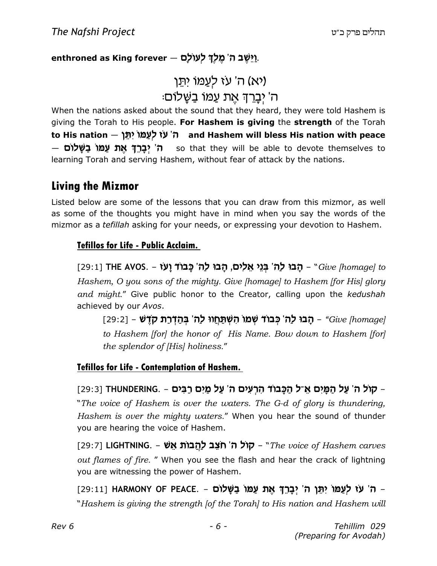#### enthroned as King forever – יַיֵּשֵׁב ה' מֵלִךְ לְעוֹלָם.

### ויא) ה' עז לְעֲמוֹ יִתֵּן ּה' יְבַרְךָ אֶת עַמּוֹ בַּשֵּׁלוֹם

When the nations asked about the sound that they heard, they were told Hashem is giving the Torah to His people. For Hashem is giving the strength of the Torah to His nation — ה' עֹז לְעַמּוֹ יִתֵּן and Hashem will bless His nation with peace — ה' יְבַרֵךְ אֵת עַמּוֹ בַשֵּׁלוֹם so that they will be able to devote themselves to learning Torah and serving Hashem, without fear of attack by the nations.

#### Living the Mizmor

Listed below are some of the lessons that you can draw from this mizmor, as well as some of the thoughts you might have in mind when you say the words of the mizmor as a tefillah asking for your needs, or expressing your devotion to Hashem.

#### Tefillos for Life - Public Acclaim.

[29:1] THE AVOS. - הָבוּ לַה' בְּנֵי אֵלִים, הָבוּ לַה' כָּבוֹד וָעֹז (29:1] THE און Hashem, O you sons of the mighty. Give [homage] to Hashem [for His] glory and might." Give public honor to the Creator, calling upon the kedushah achieved by our Avos.

[29:2] – הָבוּ לַה' כְּבוֹד שְׁמוֹ הִשְׁתַּחֲווּ לַה' בְּהַדְרַת קֹדֶשׁ – [29:2] to Hashem [for] the honor of His Name. Bow down to Hashem [for] the splendor of [His] holiness."

#### Tefillos for Life - Contemplation of Hashem.

קול ה' עַל הַמָּיִם אֵ־ל הַכָּבוֹד הִרְעִים ה' עַל מַיִם רַבִּים - .THUNDERING [29:3] "The voice of Hashem is over the waters. The G-d of glory is thundering, Hashem is over the mighty waters." When you hear the sound of thunder you are hearing the voice of Hashem.

[29:7] LIGHTNING. – קול ה' חצב לַהֲבוֹת אֵשׁ – IGHTNING. – שמו out flames of fire. " When you see the flash and hear the crack of lightning you are witnessing the power of Hashem.

ה' עז לְעַמּוֹ יִתֵּן ה' יְבָרֵךְ אֶת עַמּוֹ בַשָּׁלוֹם - HARMONY OF PEACE. – ה' עז לְעַמּוֹ יִתֵּן ה "Hashem is giving the strength [of the Torah] to His nation and Hashem will